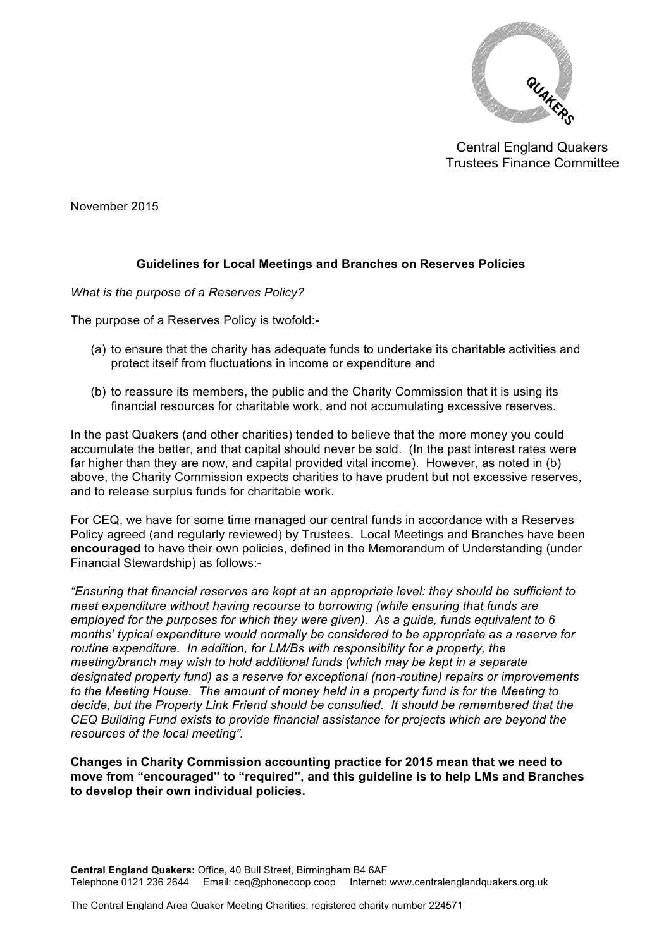

Central England Quakers Trustees Finance Committee

November 2015

## **Guidelines for Local Meetings and Branches on Reserves Policies**

## *What is the purpose of a Reserves Policy?*

The purpose of a Reserves Policy is twofold:-

- (a) to ensure that the charity has adequate funds to undertake its charitable activities and protect itself from fluctuations in income or expenditure and
- (b) to reassure its members, the public and the Charity Commission that it is using its financial resources for charitable work, and not accumulating excessive reserves.

In the past Quakers (and other charities) tended to believe that the more money you could accumulate the better, and that capital should never be sold. (In the past interest rates were far higher than they are now, and capital provided vital income). However, as noted in (b) above, the Charity Commission expects charities to have prudent but not excessive reserves, and to release surplus funds for charitable work.

For CEQ, we have for some time managed our central funds in accordance with a Reserves Policy agreed (and regularly reviewed) by Trustees. Local Meetings and Branches have been **encouraged** to have their own policies, defined in the Memorandum of Understanding (under Financial Stewardship) as follows:-

*"Ensuring that financial reserves are kept at an appropriate level: they should be sufficient to meet expenditure without having recourse to borrowing (while ensuring that funds are employed for the purposes for which they were given). As a guide, funds equivalent to 6 months' typical expenditure would normally be considered to be appropriate as a reserve for routine expenditure. In addition, for LM/Bs with responsibility for a property, the meeting/branch may wish to hold additional funds (which may be kept in a separate designated property fund) as a reserve for exceptional (non-routine) repairs or improvements to the Meeting House. The amount of money held in a property fund is for the Meeting to decide, but the Property Link Friend should be consulted. It should be remembered that the CEQ Building Fund exists to provide financial assistance for projects which are beyond the resources of the local meeting".*

**Changes in Charity Commission accounting practice for 2015 mean that we need to move from "encouraged" to "required", and this guideline is to help LMs and Branches to develop their own individual policies.**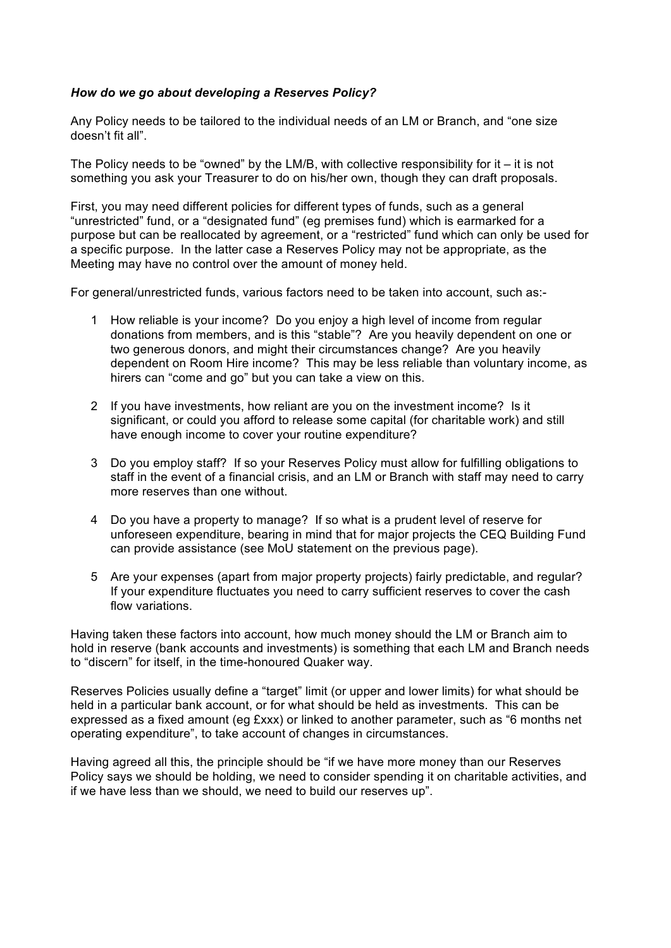## *How do we go about developing a Reserves Policy?*

Any Policy needs to be tailored to the individual needs of an LM or Branch, and "one size doesn't fit all".

The Policy needs to be "owned" by the LM/B, with collective responsibility for it  $-$  it is not something you ask your Treasurer to do on his/her own, though they can draft proposals.

First, you may need different policies for different types of funds, such as a general "unrestricted" fund, or a "designated fund" (eg premises fund) which is earmarked for a purpose but can be reallocated by agreement, or a "restricted" fund which can only be used for a specific purpose. In the latter case a Reserves Policy may not be appropriate, as the Meeting may have no control over the amount of money held.

For general/unrestricted funds, various factors need to be taken into account, such as:-

- 1 How reliable is your income? Do you enjoy a high level of income from regular donations from members, and is this "stable"? Are you heavily dependent on one or two generous donors, and might their circumstances change? Are you heavily dependent on Room Hire income? This may be less reliable than voluntary income, as hirers can "come and go" but you can take a view on this.
- 2 If you have investments, how reliant are you on the investment income? Is it significant, or could you afford to release some capital (for charitable work) and still have enough income to cover your routine expenditure?
- 3 Do you employ staff? If so your Reserves Policy must allow for fulfilling obligations to staff in the event of a financial crisis, and an LM or Branch with staff may need to carry more reserves than one without.
- 4 Do you have a property to manage? If so what is a prudent level of reserve for unforeseen expenditure, bearing in mind that for major projects the CEQ Building Fund can provide assistance (see MoU statement on the previous page).
- 5 Are your expenses (apart from major property projects) fairly predictable, and regular? If your expenditure fluctuates you need to carry sufficient reserves to cover the cash flow variations.

Having taken these factors into account, how much money should the LM or Branch aim to hold in reserve (bank accounts and investments) is something that each LM and Branch needs to "discern" for itself, in the time-honoured Quaker way.

Reserves Policies usually define a "target" limit (or upper and lower limits) for what should be held in a particular bank account, or for what should be held as investments. This can be expressed as a fixed amount (eg £xxx) or linked to another parameter, such as "6 months net operating expenditure", to take account of changes in circumstances.

Having agreed all this, the principle should be "if we have more money than our Reserves Policy says we should be holding, we need to consider spending it on charitable activities, and if we have less than we should, we need to build our reserves up".